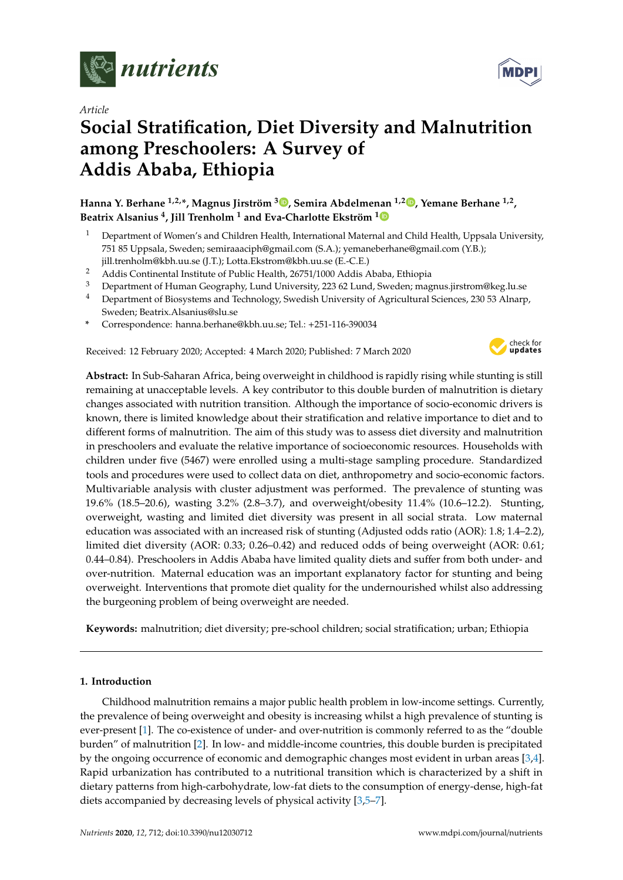

*Article*

# **Social Stratification, Diet Diversity and Malnutrition among Preschoolers: A Survey of Addis Ababa, Ethiopia**

**Hanna Y. Berhane 1,2,\*, Magnus Jirström <sup>3</sup> [,](https://orcid.org/0000-0002-7053-4492) Semira Abdelmenan 1,2 [,](https://orcid.org/0000-0003-2753-8364) Yemane Berhane 1,2 , Beatrix Alsanius <sup>4</sup> , Jill Trenholm <sup>1</sup> and Eva-Charlotte Ekström [1](https://orcid.org/0000-0001-5464-7756)**

- <sup>1</sup> Department of Women's and Children Health, International Maternal and Child Health, Uppsala University, 751 85 Uppsala, Sweden; semiraaaciph@gmail.com (S.A.); yemaneberhane@gmail.com (Y.B.); jill.trenholm@kbh.uu.se (J.T.); Lotta.Ekstrom@kbh.uu.se (E.-C.E.)
- 2 Addis Continental Institute of Public Health, 26751/1000 Addis Ababa, Ethiopia<br>3 Department of Human Coography Lund University 222.62 Lund Syrodan mag
- <sup>3</sup> Department of Human Geography, Lund University, 223 62 Lund, Sweden; magnus.jirstrom@keg.lu.se
- <sup>4</sup> Department of Biosystems and Technology, Swedish University of Agricultural Sciences, 230 53 Alnarp, Sweden; Beatrix.Alsanius@slu.se
- **\*** Correspondence: hanna.berhane@kbh.uu.se; Tel.: +251-116-390034

Received: 12 February 2020; Accepted: 4 March 2020; Published: 7 March 2020



**Abstract:** In Sub-Saharan Africa, being overweight in childhood is rapidly rising while stunting is still remaining at unacceptable levels. A key contributor to this double burden of malnutrition is dietary changes associated with nutrition transition. Although the importance of socio-economic drivers is known, there is limited knowledge about their stratification and relative importance to diet and to different forms of malnutrition. The aim of this study was to assess diet diversity and malnutrition in preschoolers and evaluate the relative importance of socioeconomic resources. Households with children under five (5467) were enrolled using a multi-stage sampling procedure. Standardized tools and procedures were used to collect data on diet, anthropometry and socio-economic factors. Multivariable analysis with cluster adjustment was performed. The prevalence of stunting was 19.6% (18.5–20.6), wasting 3.2% (2.8–3.7), and overweight/obesity 11.4% (10.6–12.2). Stunting, overweight, wasting and limited diet diversity was present in all social strata. Low maternal education was associated with an increased risk of stunting (Adjusted odds ratio (AOR): 1.8; 1.4–2.2), limited diet diversity (AOR: 0.33; 0.26–0.42) and reduced odds of being overweight (AOR: 0.61; 0.44–0.84). Preschoolers in Addis Ababa have limited quality diets and suffer from both under- and over-nutrition. Maternal education was an important explanatory factor for stunting and being overweight. Interventions that promote diet quality for the undernourished whilst also addressing the burgeoning problem of being overweight are needed.

**Keywords:** malnutrition; diet diversity; pre-school children; social stratification; urban; Ethiopia

# **1. Introduction**

Childhood malnutrition remains a major public health problem in low-income settings. Currently, the prevalence of being overweight and obesity is increasing whilst a high prevalence of stunting is ever-present [\[1\]](#page-11-0). The co-existence of under- and over-nutrition is commonly referred to as the "double burden" of malnutrition [\[2\]](#page-11-1). In low- and middle-income countries, this double burden is precipitated by the ongoing occurrence of economic and demographic changes most evident in urban areas [\[3,](#page-11-2)[4\]](#page-11-3). Rapid urbanization has contributed to a nutritional transition which is characterized by a shift in dietary patterns from high-carbohydrate, low-fat diets to the consumption of energy-dense, high-fat diets accompanied by decreasing levels of physical activity [\[3](#page-11-2)[,5–](#page-11-4)[7\]](#page-12-0).

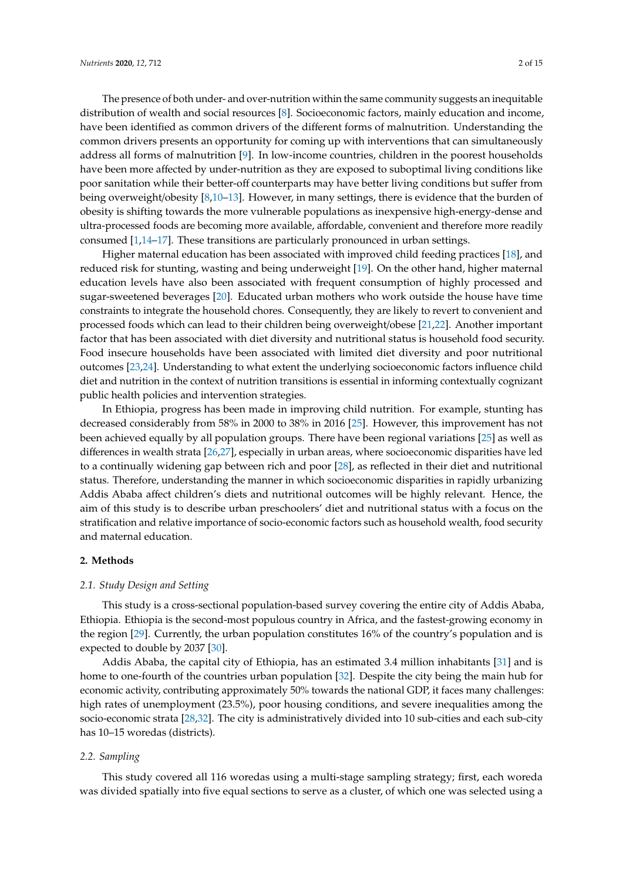The presence of both under- and over-nutrition within the same community suggests an inequitable distribution of wealth and social resources [\[8\]](#page-12-1). Socioeconomic factors, mainly education and income, have been identified as common drivers of the different forms of malnutrition. Understanding the common drivers presents an opportunity for coming up with interventions that can simultaneously address all forms of malnutrition [\[9\]](#page-12-2). In low-income countries, children in the poorest households have been more affected by under-nutrition as they are exposed to suboptimal living conditions like poor sanitation while their better-off counterparts may have better living conditions but suffer from being overweight/obesity [\[8](#page-12-1)[,10–](#page-12-3)[13\]](#page-12-4). However, in many settings, there is evidence that the burden of obesity is shifting towards the more vulnerable populations as inexpensive high-energy-dense and ultra-processed foods are becoming more available, affordable, convenient and therefore more readily consumed [\[1](#page-11-0)[,14](#page-12-5)[–17\]](#page-12-6). These transitions are particularly pronounced in urban settings.

Higher maternal education has been associated with improved child feeding practices [\[18\]](#page-12-7), and reduced risk for stunting, wasting and being underweight [\[19\]](#page-12-8). On the other hand, higher maternal education levels have also been associated with frequent consumption of highly processed and sugar-sweetened beverages [\[20\]](#page-12-9). Educated urban mothers who work outside the house have time constraints to integrate the household chores. Consequently, they are likely to revert to convenient and processed foods which can lead to their children being overweight/obese [\[21,](#page-12-10)[22\]](#page-12-11). Another important factor that has been associated with diet diversity and nutritional status is household food security. Food insecure households have been associated with limited diet diversity and poor nutritional outcomes [\[23,](#page-12-12)[24\]](#page-12-13). Understanding to what extent the underlying socioeconomic factors influence child diet and nutrition in the context of nutrition transitions is essential in informing contextually cognizant public health policies and intervention strategies.

In Ethiopia, progress has been made in improving child nutrition. For example, stunting has decreased considerably from 58% in 2000 to 38% in 2016 [\[25\]](#page-12-14). However, this improvement has not been achieved equally by all population groups. There have been regional variations [\[25\]](#page-12-14) as well as differences in wealth strata [\[26](#page-12-15)[,27\]](#page-12-16), especially in urban areas, where socioeconomic disparities have led to a continually widening gap between rich and poor [\[28\]](#page-13-0), as reflected in their diet and nutritional status. Therefore, understanding the manner in which socioeconomic disparities in rapidly urbanizing Addis Ababa affect children's diets and nutritional outcomes will be highly relevant. Hence, the aim of this study is to describe urban preschoolers' diet and nutritional status with a focus on the stratification and relative importance of socio-economic factors such as household wealth, food security and maternal education.

# **2. Methods**

#### *2.1. Study Design and Setting*

This study is a cross-sectional population-based survey covering the entire city of Addis Ababa, Ethiopia. Ethiopia is the second-most populous country in Africa, and the fastest-growing economy in the region [\[29\]](#page-13-1). Currently, the urban population constitutes 16% of the country's population and is expected to double by 2037 [\[30\]](#page-13-2).

Addis Ababa, the capital city of Ethiopia, has an estimated 3.4 million inhabitants [\[31\]](#page-13-3) and is home to one-fourth of the countries urban population [\[32\]](#page-13-4). Despite the city being the main hub for economic activity, contributing approximately 50% towards the national GDP, it faces many challenges: high rates of unemployment (23.5%), poor housing conditions, and severe inequalities among the socio-economic strata [\[28](#page-13-0)[,32\]](#page-13-4). The city is administratively divided into 10 sub-cities and each sub-city has 10–15 woredas (districts).

#### *2.2. Sampling*

This study covered all 116 woredas using a multi-stage sampling strategy; first, each woreda was divided spatially into five equal sections to serve as a cluster, of which one was selected using a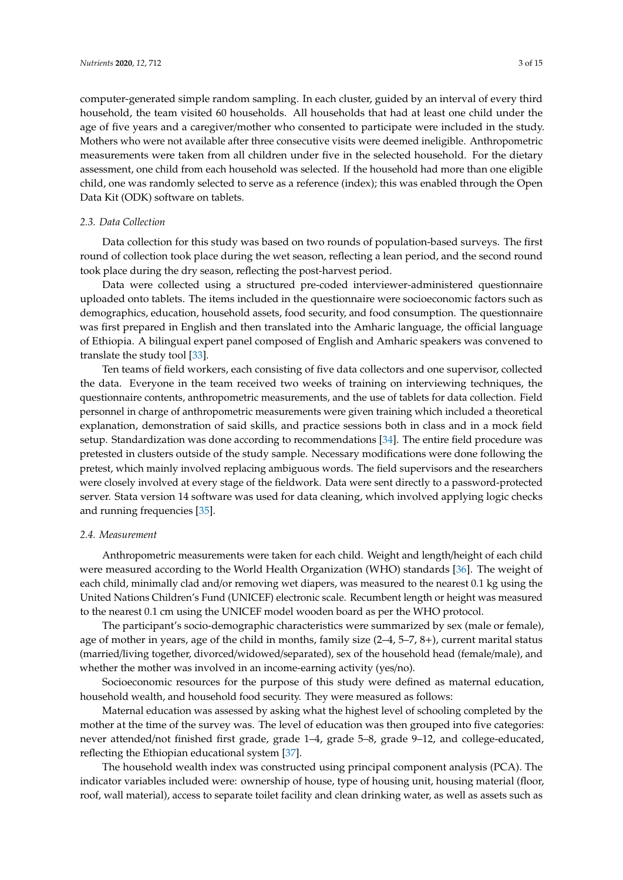computer-generated simple random sampling. In each cluster, guided by an interval of every third household, the team visited 60 households. All households that had at least one child under the age of five years and a caregiver/mother who consented to participate were included in the study. Mothers who were not available after three consecutive visits were deemed ineligible. Anthropometric measurements were taken from all children under five in the selected household. For the dietary assessment, one child from each household was selected. If the household had more than one eligible child, one was randomly selected to serve as a reference (index); this was enabled through the Open Data Kit (ODK) software on tablets.

#### *2.3. Data Collection*

Data collection for this study was based on two rounds of population-based surveys. The first round of collection took place during the wet season, reflecting a lean period, and the second round took place during the dry season, reflecting the post-harvest period.

Data were collected using a structured pre-coded interviewer-administered questionnaire uploaded onto tablets. The items included in the questionnaire were socioeconomic factors such as demographics, education, household assets, food security, and food consumption. The questionnaire was first prepared in English and then translated into the Amharic language, the official language of Ethiopia. A bilingual expert panel composed of English and Amharic speakers was convened to translate the study tool [\[33\]](#page-13-5).

Ten teams of field workers, each consisting of five data collectors and one supervisor, collected the data. Everyone in the team received two weeks of training on interviewing techniques, the questionnaire contents, anthropometric measurements, and the use of tablets for data collection. Field personnel in charge of anthropometric measurements were given training which included a theoretical explanation, demonstration of said skills, and practice sessions both in class and in a mock field setup. Standardization was done according to recommendations [\[34\]](#page-13-6). The entire field procedure was pretested in clusters outside of the study sample. Necessary modifications were done following the pretest, which mainly involved replacing ambiguous words. The field supervisors and the researchers were closely involved at every stage of the fieldwork. Data were sent directly to a password-protected server. Stata version 14 software was used for data cleaning, which involved applying logic checks and running frequencies [\[35\]](#page-13-7).

#### *2.4. Measurement*

Anthropometric measurements were taken for each child. Weight and length/height of each child were measured according to the World Health Organization (WHO) standards [\[36\]](#page-13-8). The weight of each child, minimally clad and/or removing wet diapers, was measured to the nearest 0.1 kg using the United Nations Children's Fund (UNICEF) electronic scale. Recumbent length or height was measured to the nearest 0.1 cm using the UNICEF model wooden board as per the WHO protocol.

The participant's socio-demographic characteristics were summarized by sex (male or female), age of mother in years, age of the child in months, family size (2–4, 5–7, 8+), current marital status (married/living together, divorced/widowed/separated), sex of the household head (female/male), and whether the mother was involved in an income-earning activity (yes/no).

Socioeconomic resources for the purpose of this study were defined as maternal education, household wealth, and household food security. They were measured as follows:

Maternal education was assessed by asking what the highest level of schooling completed by the mother at the time of the survey was. The level of education was then grouped into five categories: never attended/not finished first grade, grade 1–4, grade 5–8, grade 9–12, and college-educated, reflecting the Ethiopian educational system [\[37\]](#page-13-9).

The household wealth index was constructed using principal component analysis (PCA). The indicator variables included were: ownership of house, type of housing unit, housing material (floor, roof, wall material), access to separate toilet facility and clean drinking water, as well as assets such as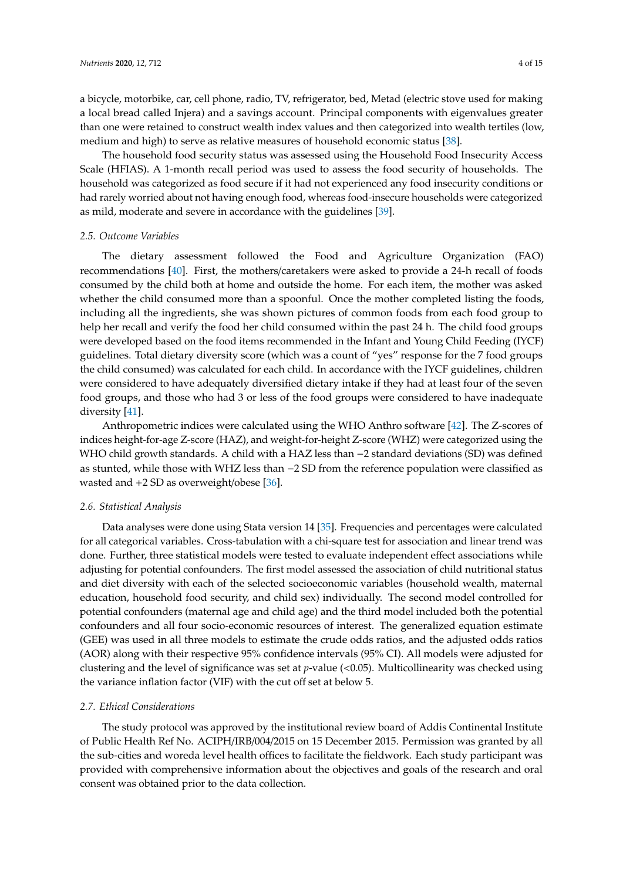a bicycle, motorbike, car, cell phone, radio, TV, refrigerator, bed, Metad (electric stove used for making a local bread called Injera) and a savings account. Principal components with eigenvalues greater than one were retained to construct wealth index values and then categorized into wealth tertiles (low, medium and high) to serve as relative measures of household economic status [\[38\]](#page-13-10).

The household food security status was assessed using the Household Food Insecurity Access Scale (HFIAS). A 1-month recall period was used to assess the food security of households. The household was categorized as food secure if it had not experienced any food insecurity conditions or had rarely worried about not having enough food, whereas food-insecure households were categorized as mild, moderate and severe in accordance with the guidelines [\[39\]](#page-13-11).

#### *2.5. Outcome Variables*

The dietary assessment followed the Food and Agriculture Organization (FAO) recommendations [\[40\]](#page-13-12). First, the mothers/caretakers were asked to provide a 24-h recall of foods consumed by the child both at home and outside the home. For each item, the mother was asked whether the child consumed more than a spoonful. Once the mother completed listing the foods, including all the ingredients, she was shown pictures of common foods from each food group to help her recall and verify the food her child consumed within the past 24 h. The child food groups were developed based on the food items recommended in the Infant and Young Child Feeding (IYCF) guidelines. Total dietary diversity score (which was a count of "yes" response for the 7 food groups the child consumed) was calculated for each child. In accordance with the IYCF guidelines, children were considered to have adequately diversified dietary intake if they had at least four of the seven food groups, and those who had 3 or less of the food groups were considered to have inadequate diversity [\[41\]](#page-13-13).

Anthropometric indices were calculated using the WHO Anthro software [\[42\]](#page-13-14). The Z-scores of indices height-for-age Z-score (HAZ), and weight-for-height Z-score (WHZ) were categorized using the WHO child growth standards. A child with a HAZ less than −2 standard deviations (SD) was defined as stunted, while those with WHZ less than −2 SD from the reference population were classified as wasted and +2 SD as overweight/obese [\[36\]](#page-13-8).

#### *2.6. Statistical Analysis*

Data analyses were done using Stata version 14 [\[35\]](#page-13-7). Frequencies and percentages were calculated for all categorical variables. Cross-tabulation with a chi-square test for association and linear trend was done. Further, three statistical models were tested to evaluate independent effect associations while adjusting for potential confounders. The first model assessed the association of child nutritional status and diet diversity with each of the selected socioeconomic variables (household wealth, maternal education, household food security, and child sex) individually. The second model controlled for potential confounders (maternal age and child age) and the third model included both the potential confounders and all four socio-economic resources of interest. The generalized equation estimate (GEE) was used in all three models to estimate the crude odds ratios, and the adjusted odds ratios (AOR) along with their respective 95% confidence intervals (95% CI). All models were adjusted for clustering and the level of significance was set at *p*-value (<0.05). Multicollinearity was checked using the variance inflation factor (VIF) with the cut off set at below 5.

# *2.7. Ethical Considerations*

The study protocol was approved by the institutional review board of Addis Continental Institute of Public Health Ref No. ACIPH/IRB/004/2015 on 15 December 2015. Permission was granted by all the sub-cities and woreda level health offices to facilitate the fieldwork. Each study participant was provided with comprehensive information about the objectives and goals of the research and oral consent was obtained prior to the data collection.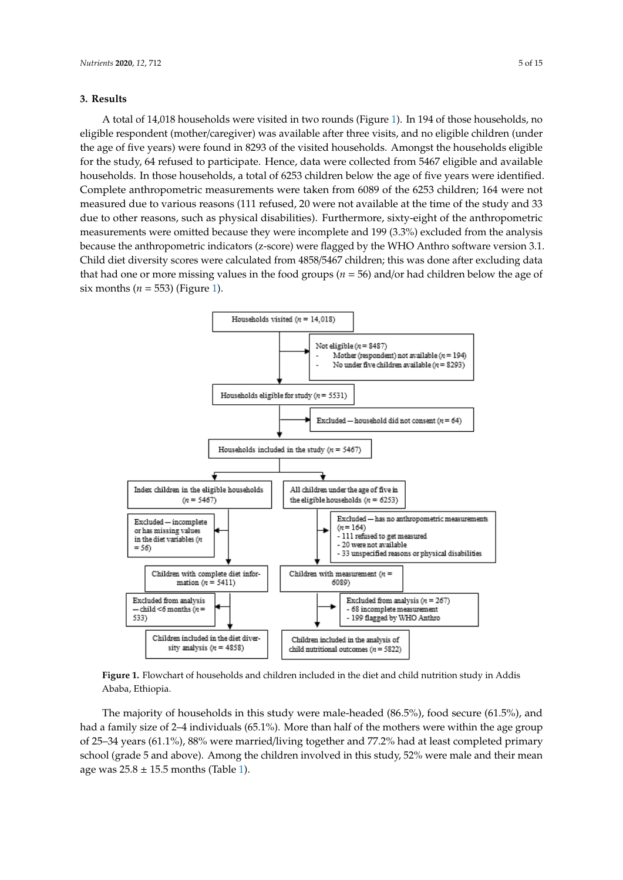# **3. Results**

A total of 14,018 households were visited in two rounds (Figure [1\)](#page-4-0). In 194 of those households, no eligible respondent (mother/caregiver) was available after three visits, and no eligible children (under the age of five years) were found in 8293 of the visited households. Amongst the households eligible for the study, 64 refused to participate. Hence, data were collected from 5467 eligible and available households. In those households, a total of 6253 children below the age of five years were identified. Complete anthropometric measurements were taken from 6089 of the 6253 children; 164 were not measured due to various reasons (111 refused, 20 were not available at the time of the study and 33 were not measured due to various reasons (111 refused, 20 were not available at the time of the study due to other reasons, such as physical disabilities). Furthermore, sixty-eight of the anthropometric measurements were omitted because they were incomplete and 199 (3.3%) excluded from the analysis because the anthropometric indicators (z-score) were flagged by the WHO Anthro software version 3.1. Child diet diversity scores were calculated from 4858/5467 children; this was done after excluding data that had one or more missing values in the food groups ( $n = 56$ ) and/or had children below the age of six [m](#page-4-0)onths ( $n = 553$ ) (Figure 1).

<span id="page-4-0"></span>

**Figure 1.** Flowchart of households and children included in the diet and child nutrition study in Addis Ababa, Ethiopia.

The majority of households in this study were male-headed (86.5%), food secure (61.5%), and had a family size of 2–4 individuals (65.1%). More than half of the mothers were within the age group of 25–34 years (61.1%), 88% were married/living together and 77.2% had at least completed primary<br>of 25–34 years (61.1%), 88% were married/living together and 77.2% had at least completed primary school (grade 5 and above). Among the children involved in this study, 52% were male and their mean school (grade 5 and above). Among the children involved in this study, 52% were male and their mean age was  $25.8 \pm 15.5$  months (Table [1\)](#page-5-0).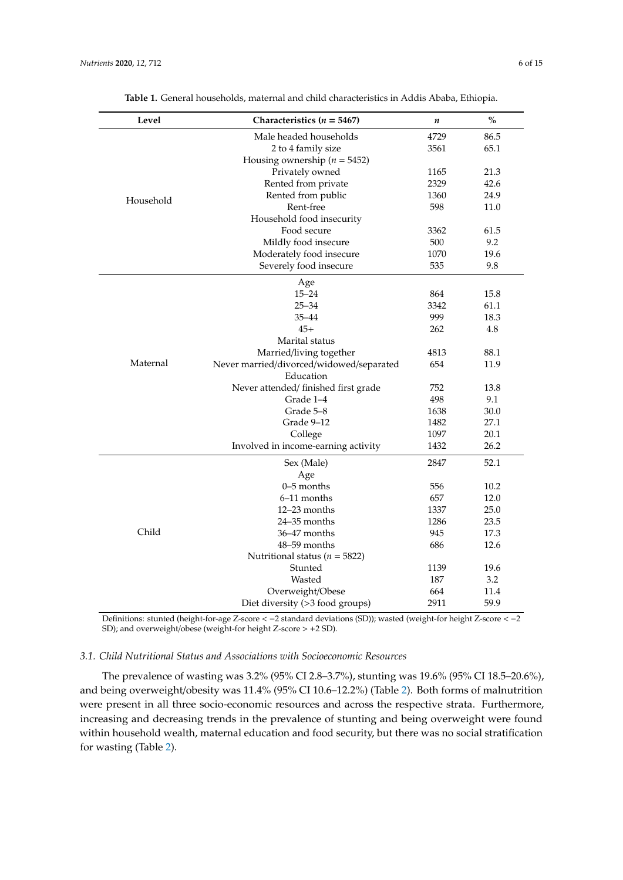<span id="page-5-0"></span>

| Level     | Characteristics ( $n = 5467$ )           | n    | $\frac{0}{0}$ |
|-----------|------------------------------------------|------|---------------|
| Household | Male headed households                   | 4729 | 86.5          |
|           | 2 to 4 family size                       | 3561 | 65.1          |
|           | Housing ownership ( $n = 5452$ )         |      |               |
|           | Privately owned                          | 1165 | 21.3          |
|           | Rented from private                      | 2329 | 42.6          |
|           | Rented from public                       | 1360 | 24.9          |
|           | Rent-free                                | 598  | 11.0          |
|           | Household food insecurity                |      |               |
|           | Food secure                              | 3362 | 61.5          |
|           | Mildly food insecure                     | 500  | 9.2           |
|           | Moderately food insecure                 | 1070 | 19.6          |
|           | Severely food insecure                   | 535  | 9.8           |
|           | Age                                      |      |               |
| Maternal  | $15 - 24$                                | 864  | 15.8          |
|           | $25 - 34$                                | 3342 | 61.1          |
|           | $35 - 44$                                | 999  | 18.3          |
|           | $45+$                                    | 262  | 4.8           |
|           | Marital status                           |      |               |
|           | Married/living together                  | 4813 | 88.1          |
|           | Never married/divorced/widowed/separated | 654  | 11.9          |
|           | Education                                |      |               |
|           | Never attended/finished first grade      | 752  | 13.8          |
|           | Grade 1–4                                | 498  | 9.1           |
|           | Grade 5–8                                | 1638 | 30.0          |
|           | Grade 9-12                               | 1482 | 27.1          |
|           | College                                  | 1097 | 20.1          |
|           | Involved in income-earning activity      | 1432 | 26.2          |
|           | Sex (Male)                               | 2847 | 52.1          |
| Child     | Age                                      |      |               |
|           | 0-5 months                               | 556  | 10.2          |
|           | $6-11$ months                            | 657  | 12.0          |
|           | 12-23 months                             | 1337 | 25.0          |
|           | 24–35 months                             | 1286 | 23.5          |
|           | 36–47 months                             | 945  | 17.3          |
|           | 48-59 months                             | 686  | 12.6          |
|           | Nutritional status ( $n = 5822$ )        |      |               |
|           | Stunted                                  | 1139 | 19.6          |
|           | Wasted                                   | 187  | 3.2           |
|           | Overweight/Obese                         | 664  | 11.4          |
|           | Diet diversity (>3 food groups)          | 2911 | 59.9          |

**Table 1.** General households, maternal and child characteristics in Addis Ababa, Ethiopia.

Definitions: stunted (height-for-age Z-score < −2 standard deviations (SD)); wasted (weight-for height Z-score < −2 SD); and overweight/obese (weight-for height Z-score > +2 SD).

# *3.1. Child Nutritional Status and Associations with Socioeconomic Resources*

The prevalence of wasting was 3.2% (95% CI 2.8–3.7%), stunting was 19.6% (95% CI 18.5–20.6%), and being overweight/obesity was 11.4% (95% CI 10.6–12.2%) (Table [2\)](#page-6-0). Both forms of malnutrition were present in all three socio-economic resources and across the respective strata. Furthermore, increasing and decreasing trends in the prevalence of stunting and being overweight were found within household wealth, maternal education and food security, but there was no social stratification for wasting (Table [2\)](#page-6-0).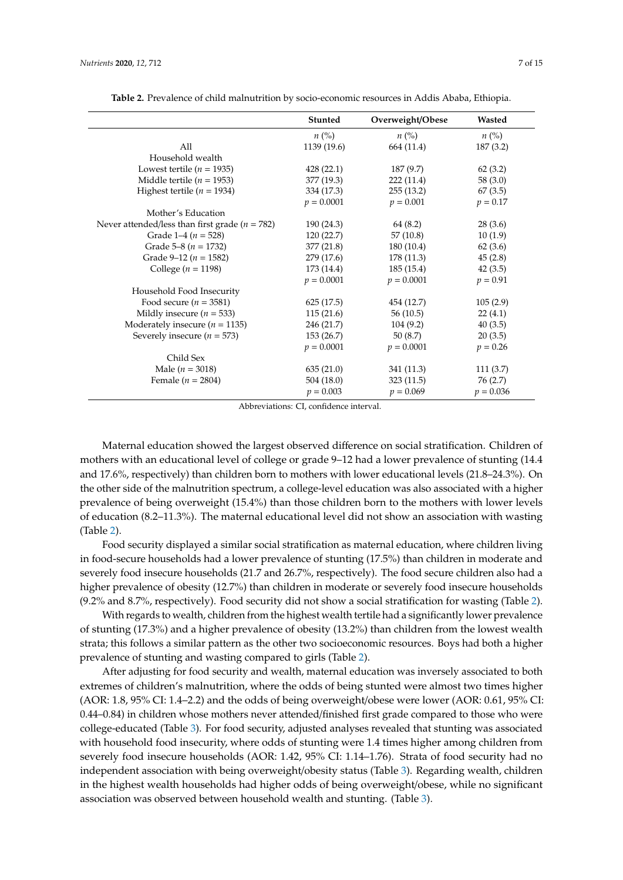<span id="page-6-0"></span>

|                                                    | <b>Stunted</b> | Overweight/Obese | Wasted      |
|----------------------------------------------------|----------------|------------------|-------------|
|                                                    | $n\ (\%)$      | $n\ (\%)$        | $n\ (\%)$   |
| All                                                | 1139 (19.6)    | 664 (11.4)       | 187(3.2)    |
| Household wealth                                   |                |                  |             |
| Lowest tertile ( $n = 1935$ )                      | 428(22.1)      | 187(9.7)         | 62(3.2)     |
| Middle tertile ( $n = 1953$ )                      | 377 (19.3)     | 222(11.4)        | 58 (3.0)    |
| Highest tertile ( $n = 1934$ )                     | 334 (17.3)     | 255(13.2)        | 67(3.5)     |
|                                                    | $p = 0.0001$   | $p = 0.001$      | $p = 0.17$  |
| Mother's Education                                 |                |                  |             |
| Never attended/less than first grade ( $n = 782$ ) | 190 (24.3)     | 64 (8.2)         | 28(3.6)     |
| Grade $1-4$ ( $n = 528$ )                          | 120 (22.7)     | 57(10.8)         | 10(1.9)     |
| Grade 5–8 ( $n = 1732$ )                           | 377 (21.8)     | 180 (10.4)       | 62(3.6)     |
| Grade $9-12$ ( $n = 1582$ )                        | 279 (17.6)     | 178 (11.3)       | 45(2.8)     |
| College ( $n = 1198$ )                             | 173 (14.4)     | 185(15.4)        | 42(3.5)     |
|                                                    | $p = 0.0001$   | $p = 0.0001$     | $p = 0.91$  |
| Household Food Insecurity                          |                |                  |             |
| Food secure ( $n = 3581$ )                         | 625 (17.5)     | 454 (12.7)       | 105(2.9)    |
| Mildly insecure ( $n = 533$ )                      | 115(21.6)      | 56(10.5)         | 22(4.1)     |
| Moderately insecure ( $n = 1135$ )                 | 246 (21.7)     | 104(9.2)         | 40(3.5)     |
| Severely insecure ( $n = 573$ )                    | 153 (26.7)     | 50(8.7)          | 20(3.5)     |
|                                                    | $p = 0.0001$   | $p = 0.0001$     | $p = 0.26$  |
| Child Sex                                          |                |                  |             |
| Male ( $n = 3018$ )                                | 635(21.0)      | 341 (11.3)       | 111(3.7)    |
| Female ( $n = 2804$ )                              | 504 (18.0)     | 323 (11.5)       | 76 (2.7)    |
|                                                    | $p = 0.003$    | $p = 0.069$      | $p = 0.036$ |

**Table 2.** Prevalence of child malnutrition by socio-economic resources in Addis Ababa, Ethiopia.

Abbreviations: CI, confidence interval.

Maternal education showed the largest observed difference on social stratification. Children of mothers with an educational level of college or grade 9–12 had a lower prevalence of stunting (14.4 and 17.6%, respectively) than children born to mothers with lower educational levels (21.8–24.3%). On the other side of the malnutrition spectrum, a college-level education was also associated with a higher prevalence of being overweight (15.4%) than those children born to the mothers with lower levels of education (8.2–11.3%). The maternal educational level did not show an association with wasting (Table [2\)](#page-6-0).

Food security displayed a similar social stratification as maternal education, where children living in food-secure households had a lower prevalence of stunting (17.5%) than children in moderate and severely food insecure households (21.7 and 26.7%, respectively). The food secure children also had a higher prevalence of obesity (12.7%) than children in moderate or severely food insecure households (9.2% and 8.7%, respectively). Food security did not show a social stratification for wasting (Table [2\)](#page-6-0).

With regards to wealth, children from the highest wealth tertile had a significantly lower prevalence of stunting (17.3%) and a higher prevalence of obesity (13.2%) than children from the lowest wealth strata; this follows a similar pattern as the other two socioeconomic resources. Boys had both a higher prevalence of stunting and wasting compared to girls (Table [2\)](#page-6-0).

After adjusting for food security and wealth, maternal education was inversely associated to both extremes of children's malnutrition, where the odds of being stunted were almost two times higher (AOR: 1.8, 95% CI: 1.4–2.2) and the odds of being overweight/obese were lower (AOR: 0.61, 95% CI: 0.44–0.84) in children whose mothers never attended/finished first grade compared to those who were college-educated (Table [3\)](#page-7-0). For food security, adjusted analyses revealed that stunting was associated with household food insecurity, where odds of stunting were 1.4 times higher among children from severely food insecure households (AOR: 1.42, 95% CI: 1.14–1.76). Strata of food security had no independent association with being overweight/obesity status (Table [3\)](#page-7-0). Regarding wealth, children in the highest wealth households had higher odds of being overweight/obese, while no significant association was observed between household wealth and stunting. (Table [3\)](#page-7-0).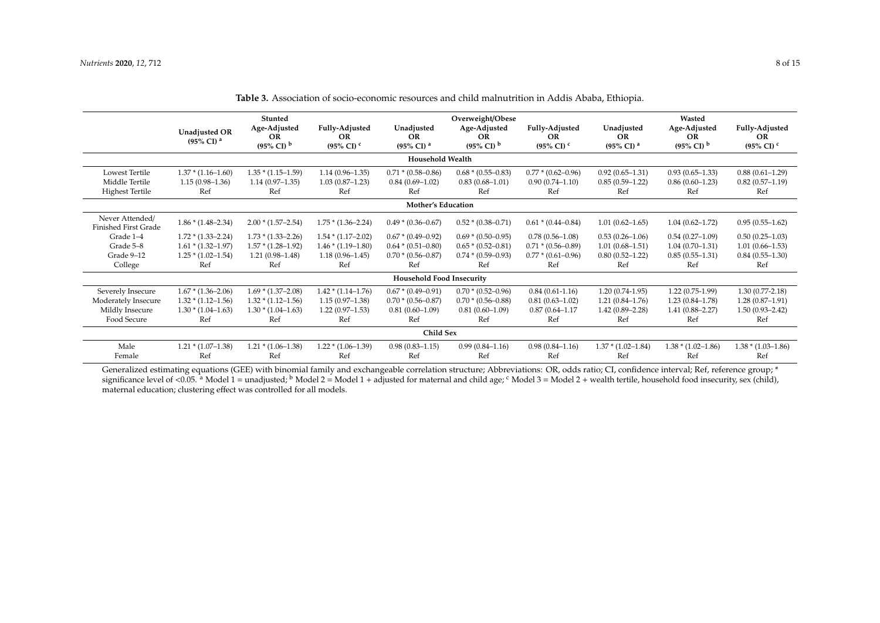|                                                            | <b>Stunted</b>                                           |                                                             |                                                             |                                                             | Overweight/Obese                                            |                                                      |                                                             | Wasted                                                      |                                                      |  |
|------------------------------------------------------------|----------------------------------------------------------|-------------------------------------------------------------|-------------------------------------------------------------|-------------------------------------------------------------|-------------------------------------------------------------|------------------------------------------------------|-------------------------------------------------------------|-------------------------------------------------------------|------------------------------------------------------|--|
|                                                            | <b>Unadjusted OR</b><br>$(95\% \text{ CI})$ <sup>a</sup> | Age-Adjusted<br><b>OR</b><br>$(95\% \text{ CI})^{\text{b}}$ | <b>Fully-Adjusted</b><br><b>OR</b><br>$(95\% \text{ CI})$ c | Unadjusted<br><b>OR</b><br>$(95\% \text{ CI})$ <sup>a</sup> | Age-Adjusted<br><b>OR</b><br>$(95\% \text{ CI})^{\text{b}}$ | Fully-Adjusted<br><b>OR</b><br>$(95\% \text{ CI})$ c | Unadjusted<br><b>OR</b><br>$(95\% \text{ CI})$ <sup>a</sup> | Age-Adjusted<br><b>OR</b><br>$(95\% \text{ CI})^{\text{b}}$ | Fully-Adjusted<br><b>OR</b><br>$(95\% \text{ CI})$ c |  |
|                                                            | Household Wealth                                         |                                                             |                                                             |                                                             |                                                             |                                                      |                                                             |                                                             |                                                      |  |
| Lowest Tertile<br>Middle Tertile<br><b>Highest Tertile</b> | $1.37 * (1.16 - 1.60)$<br>$1.15(0.98 - 1.36)$<br>Ref     | $1.35 * (1.15 - 1.59)$<br>$1.14(0.97-1.35)$<br>Ref          | $1.14(0.96 - 1.35)$<br>$1.03(0.87 - 1.23)$<br>Ref           | $0.71 * (0.58 - 0.86)$<br>$0.84(0.69-1.02)$<br>Ref          | $0.68 * (0.55 - 0.83)$<br>$0.83(0.68 - 1.01)$<br>Ref        | $0.77*(0.62-0.96)$<br>$0.90(0.74 - 1.10)$<br>Ref     | $0.92(0.65 - 1.31)$<br>$0.85(0.59-1.22)$<br>Ref             | $0.93(0.65 - 1.33)$<br>$0.86(0.60-1.23)$<br>Ref             | $0.88(0.61 - 1.29)$<br>$0.82(0.57-1.19)$<br>Ref      |  |
| <b>Mother's Education</b>                                  |                                                          |                                                             |                                                             |                                                             |                                                             |                                                      |                                                             |                                                             |                                                      |  |
| Never Attended/<br>Finished First Grade                    | $1.86 * (1.48 - 2.34)$                                   | $2.00*(1.57-2.54)$                                          | $1.75 * (1.36 - 2.24)$                                      | $0.49 * (0.36 - 0.67)$                                      | $0.52 * (0.38 - 0.71)$                                      | $0.61 * (0.44 - 0.84)$                               | $1.01(0.62 - 1.65)$                                         | $1.04(0.62 - 1.72)$                                         | $0.95(0.55 - 1.62)$                                  |  |
| Grade 1-4                                                  | $1.72 * (1.33 - 2.24)$                                   | $1.73 * (1.33 - 2.26)$                                      | $1.54 * (1.17 - 2.02)$                                      | $0.67*(0.49-0.92)$                                          | $0.69*(0.50-0.95)$                                          | $0.78(0.56 - 1.08)$                                  | $0.53(0.26 - 1.06)$                                         | $0.54(0.27-1.09)$                                           | $0.50(0.25 - 1.03)$                                  |  |
| Grade 5-8                                                  | $1.61 * (1.32 - 1.97)$                                   | $1.57*(1.28-1.92)$                                          | $1.46 * (1.19 - 1.80)$                                      | $0.64*(0.51-0.80)$                                          | $0.65 * (0.52 - 0.81)$                                      | $0.71 * (0.56 - 0.89)$                               | $1.01(0.68 - 1.51)$                                         | $1.04(0.70 - 1.31)$                                         | $1.01(0.66 - 1.53)$                                  |  |
| Grade 9-12                                                 | $1.25 * (1.02 - 1.54)$                                   | $1.21(0.98 - 1.48)$                                         | $1.18(0.96 - 1.45)$                                         | $0.70*(0.56-0.87)$                                          | $0.74*(0.59-0.93)$                                          | $0.77*(0.61-0.96)$                                   | $0.80(0.52 - 1.22)$                                         | $0.85(0.55 - 1.31)$                                         | $0.84(0.55 - 1.30)$                                  |  |
| College                                                    | Ref                                                      | Ref                                                         | Ref                                                         | Ref                                                         | Ref                                                         | Ref                                                  | Ref                                                         | Ref                                                         | Ref                                                  |  |
| <b>Household Food Insecurity</b>                           |                                                          |                                                             |                                                             |                                                             |                                                             |                                                      |                                                             |                                                             |                                                      |  |
| Severely Insecure                                          | $1.67 * (1.36 - 2.06)$                                   | $1.69 * (1.37 - 2.08)$                                      | $1.42 * (1.14 - 1.76)$                                      | $0.67 * (0.49 - 0.91)$                                      | $0.70*(0.52-0.96)$                                          | $0.84(0.61-1.16)$                                    | $1.20(0.74-1.95)$                                           | $1.22(0.75-1.99)$                                           | $1.30(0.77-2.18)$                                    |  |
| Moderately Insecure                                        | $1.32 * (1.12 - 1.56)$                                   | $1.32 * (1.12 - 1.56)$                                      | $1.15(0.97-1.38)$                                           | $0.70*(0.56-0.87)$                                          | $0.70*(0.56-0.88)$                                          | $0.81(0.63 - 1.02)$                                  | $1.21(0.84 - 1.76)$                                         | $1.23(0.84 - 1.78)$                                         | $1.28(0.87-1.91)$                                    |  |
| Mildly Insecure                                            | $1.30 * (1.04 - 1.63)$                                   | $1.30 * (1.04 - 1.63)$                                      | $1.22(0.97-1.53)$                                           | $0.81(0.60-1.09)$                                           | $0.81(0.60-1.09)$                                           | $0.87(0.64 - 1.17)$                                  | $1.42(0.89 - 2.28)$                                         | $1.41(0.88 - 2.27)$                                         | $1.50(0.93 - 2.42)$                                  |  |
| Food Secure                                                | Ref                                                      | Ref                                                         | Ref                                                         | Ref                                                         | Ref                                                         | Ref                                                  | Ref                                                         | Ref                                                         | Ref                                                  |  |
| Child Sex                                                  |                                                          |                                                             |                                                             |                                                             |                                                             |                                                      |                                                             |                                                             |                                                      |  |
| Male                                                       | $1.21 * (1.07 - 1.38)$                                   | $1.21 * (1.06 - 1.38)$                                      | $1.22 * (1.06 - 1.39)$                                      | $0.98(0.83 - 1.15)$                                         | $0.99(0.84 - 1.16)$                                         | $0.98(0.84 - 1.16)$                                  | $1.37 * (1.02 - 1.84)$                                      | $1.38 * (1.02 - 1.86)$                                      | $1.38 * (1.03 - 1.86)$                               |  |
| Female                                                     | Ref                                                      | Ref                                                         | Ref                                                         | Ref                                                         | Ref                                                         | Ref                                                  | Ref                                                         | Ref                                                         | Ref                                                  |  |

|  | <b>Table 3.</b> Association of socio-economic resources and child malnutrition in Addis Ababa, Ethiopia. |
|--|----------------------------------------------------------------------------------------------------------|
|--|----------------------------------------------------------------------------------------------------------|

<span id="page-7-0"></span>Generalized estimating equations (GEE) with binomial family and exchangeable correlation structure; Abbreviations: OR, odds ratio; CI, confidence interval; Ref, reference group; \* significance level of <0.05. <sup>a</sup> Model 1 = unadjusted; <sup>b</sup> Model 2 = Model 1 + adjusted for maternal and child age; <sup>c</sup> Model 3 = Model 2 + wealth tertile, household food insecurity, sex (child), maternal education; clustering effect was controlled for all models.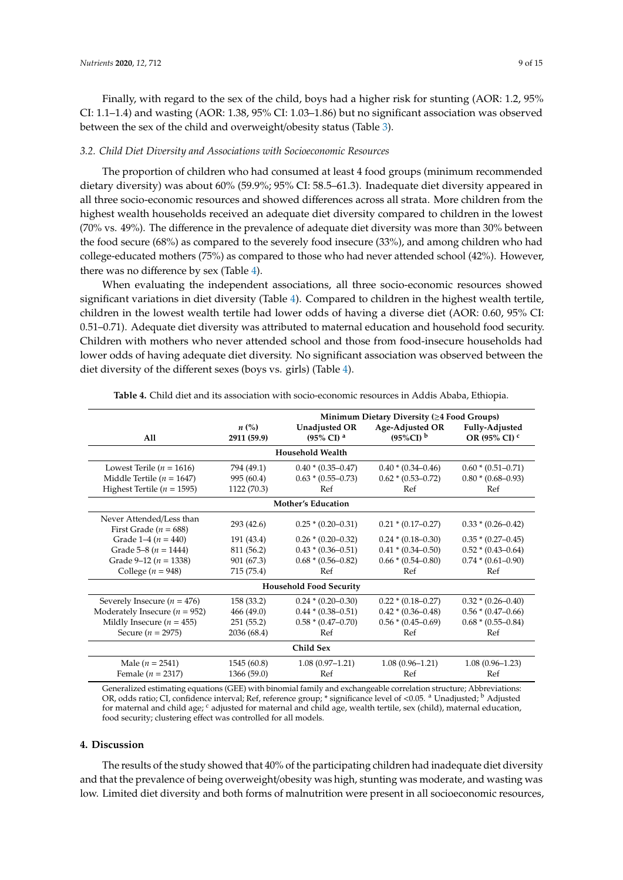Finally, with regard to the sex of the child, boys had a higher risk for stunting (AOR: 1.2, 95% CI: 1.1–1.4) and wasting (AOR: 1.38, 95% CI: 1.03–1.86) but no significant association was observed between the sex of the child and overweight/obesity status (Table [3\)](#page-7-0).

#### *3.2. Child Diet Diversity and Associations with Socioeconomic Resources*

The proportion of children who had consumed at least 4 food groups (minimum recommended dietary diversity) was about 60% (59.9%; 95% CI: 58.5–61.3). Inadequate diet diversity appeared in all three socio-economic resources and showed differences across all strata. More children from the highest wealth households received an adequate diet diversity compared to children in the lowest (70% vs. 49%). The difference in the prevalence of adequate diet diversity was more than 30% between the food secure (68%) as compared to the severely food insecure (33%), and among children who had college-educated mothers (75%) as compared to those who had never attended school (42%). However, there was no difference by sex (Table [4\)](#page-8-0).

When evaluating the independent associations, all three socio-economic resources showed significant variations in diet diversity (Table [4\)](#page-8-0). Compared to children in the highest wealth tertile, children in the lowest wealth tertile had lower odds of having a diverse diet (AOR: 0.60, 95% CI: 0.51–0.71). Adequate diet diversity was attributed to maternal education and household food security. Children with mothers who never attended school and those from food-insecure households had lower odds of having adequate diet diversity. No significant association was observed between the diet diversity of the different sexes (boys vs. girls) (Table [4\)](#page-8-0).

<span id="page-8-0"></span>

|                                                       |                          | Minimum Dietary Diversity $(\geq 4$ Food Groups)         |                                  |                                        |  |  |  |
|-------------------------------------------------------|--------------------------|----------------------------------------------------------|----------------------------------|----------------------------------------|--|--|--|
| A11                                                   | $n\ (\%)$<br>2911 (59.9) | <b>Unadjusted OR</b><br>$(95\% \text{ CI})$ <sup>a</sup> | Age-Adjusted OR<br>$(95\%$ CI) b | <b>Fully-Adjusted</b><br>OR (95% CI) c |  |  |  |
| <b>Household Wealth</b>                               |                          |                                                          |                                  |                                        |  |  |  |
| Lowest Terile ( $n = 1616$ )                          | 794 (49.1)               | $0.40 * (0.35 - 0.47)$                                   | $0.40 * (0.34 - 0.46)$           | $0.60 * (0.51 - 0.71)$                 |  |  |  |
| Middle Tertile ( $n = 1647$ )                         | 995 (60.4)               | $0.63 * (0.55 - 0.73)$                                   | $0.62 * (0.53 - 0.72)$           | $0.80 * (0.68 - 0.93)$                 |  |  |  |
| Highest Tertile ( $n = 1595$ )                        | 1122 (70.3)              | Ref                                                      | Ref                              | Ref                                    |  |  |  |
| <b>Mother's Education</b>                             |                          |                                                          |                                  |                                        |  |  |  |
| Never Attended/Less than<br>First Grade ( $n = 688$ ) | 293 (42.6)               | $0.25 * (0.20 - 0.31)$                                   | $0.21 * (0.17 - 0.27)$           | $0.33 * (0.26 - 0.42)$                 |  |  |  |
| Grade $1-4(n = 440)$                                  | 191 (43.4)               | $0.26 * (0.20 - 0.32)$                                   | $0.24 * (0.18 - 0.30)$           | $0.35 * (0.27 - 0.45)$                 |  |  |  |
| Grade 5–8 ( $n = 1444$ )                              | 811 (56.2)               | $0.43 * (0.36 - 0.51)$                                   | $0.41 * (0.34 - 0.50)$           | $0.52 * (0.43 - 0.64)$                 |  |  |  |
| Grade $9-12 (n = 1338)$                               | 901 (67.3)               | $0.68 * (0.56 - 0.82)$                                   | $0.66 * (0.54 - 0.80)$           | $0.74*(0.61-0.90)$                     |  |  |  |
| College $(n = 948)$                                   | 715 (75.4)               | Ref                                                      | Ref                              | Ref                                    |  |  |  |
| <b>Household Food Security</b>                        |                          |                                                          |                                  |                                        |  |  |  |
| Severely Insecure ( $n = 476$ )                       | 158 (33.2)               | $0.24 * (0.20 - 0.30)$                                   | $0.22 * (0.18 - 0.27)$           | $0.32 * (0.26 - 0.40)$                 |  |  |  |
| Moderately Insecure ( $n = 952$ )                     | 466 (49.0)               | $0.44 * (0.38 - 0.51)$                                   | $0.42 * (0.36 - 0.48)$           | $0.56 * (0.47 - 0.66)$                 |  |  |  |
| Mildly Insecure ( $n = 455$ )                         | 251(55.2)                | $0.58 * (0.47 - 0.70)$                                   | $0.56 * (0.45 - 0.69)$           | $0.68 * (0.55 - 0.84)$                 |  |  |  |
| Secure ( $n = 2975$ )                                 | 2036 (68.4)              | Ref                                                      | Ref                              | Ref                                    |  |  |  |
| Child Sex                                             |                          |                                                          |                                  |                                        |  |  |  |
| Male $(n = 2541)$                                     | 1545 (60.8)              | $1.08(0.97-1.21)$                                        | $1.08(0.96 - 1.21)$              | $1.08(0.96 - 1.23)$                    |  |  |  |
| Female ( $n = 2317$ )                                 | 1366 (59.0)              | Ref                                                      | Ref                              | Ref                                    |  |  |  |

**Table 4.** Child diet and its association with socio-economic resources in Addis Ababa, Ethiopia.

Generalized estimating equations (GEE) with binomial family and exchangeable correlation structure; Abbreviations: OR, odds ratio; CI, confidence interval; Ref, reference group; \* significance level of <0.05. <sup>a</sup> Unadjusted; <sup>b</sup> Adjusted for maternal and child age; <sup>c</sup> adjusted for maternal and child age, wealth tertile, sex (child), maternal education, food security; clustering effect was controlled for all models.

#### **4. Discussion**

The results of the study showed that 40% of the participating children had inadequate diet diversity and that the prevalence of being overweight/obesity was high, stunting was moderate, and wasting was low. Limited diet diversity and both forms of malnutrition were present in all socioeconomic resources,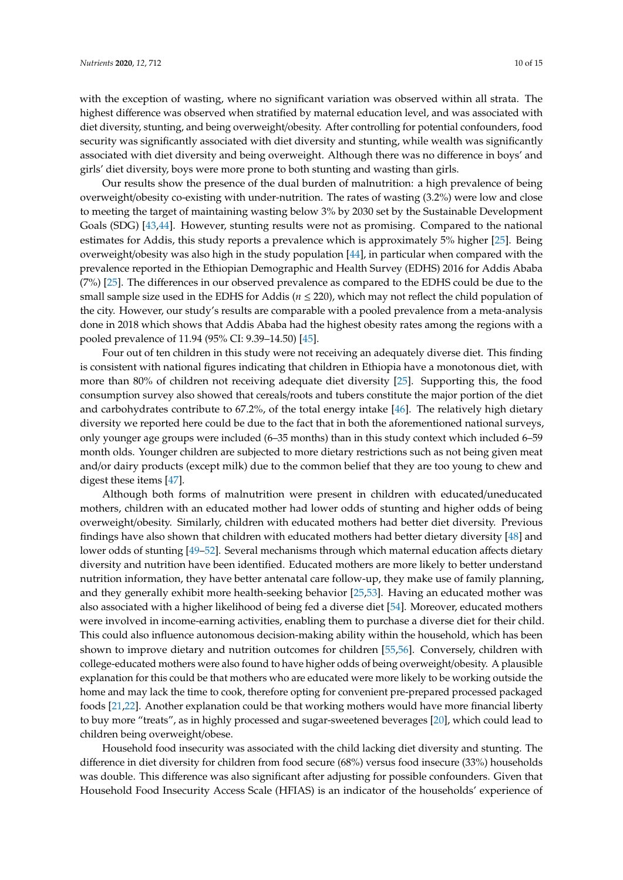with the exception of wasting, where no significant variation was observed within all strata. The highest difference was observed when stratified by maternal education level, and was associated with diet diversity, stunting, and being overweight/obesity. After controlling for potential confounders, food security was significantly associated with diet diversity and stunting, while wealth was significantly associated with diet diversity and being overweight. Although there was no difference in boys' and girls' diet diversity, boys were more prone to both stunting and wasting than girls.

Our results show the presence of the dual burden of malnutrition: a high prevalence of being overweight/obesity co-existing with under-nutrition. The rates of wasting (3.2%) were low and close to meeting the target of maintaining wasting below 3% by 2030 set by the Sustainable Development Goals (SDG) [\[43](#page-13-15)[,44\]](#page-13-16). However, stunting results were not as promising. Compared to the national estimates for Addis, this study reports a prevalence which is approximately 5% higher [\[25\]](#page-12-14). Being overweight/obesity was also high in the study population [\[44\]](#page-13-16), in particular when compared with the prevalence reported in the Ethiopian Demographic and Health Survey (EDHS) 2016 for Addis Ababa (7%) [\[25\]](#page-12-14). The differences in our observed prevalence as compared to the EDHS could be due to the small sample size used in the EDHS for Addis (*n* ≤ 220), which may not reflect the child population of the city. However, our study's results are comparable with a pooled prevalence from a meta-analysis done in 2018 which shows that Addis Ababa had the highest obesity rates among the regions with a pooled prevalence of 11.94 (95% CI: 9.39–14.50) [\[45\]](#page-13-17).

Four out of ten children in this study were not receiving an adequately diverse diet. This finding is consistent with national figures indicating that children in Ethiopia have a monotonous diet, with more than 80% of children not receiving adequate diet diversity [\[25\]](#page-12-14). Supporting this, the food consumption survey also showed that cereals/roots and tubers constitute the major portion of the diet and carbohydrates contribute to 67.2%, of the total energy intake [\[46\]](#page-13-18). The relatively high dietary diversity we reported here could be due to the fact that in both the aforementioned national surveys, only younger age groups were included (6–35 months) than in this study context which included 6–59 month olds. Younger children are subjected to more dietary restrictions such as not being given meat and/or dairy products (except milk) due to the common belief that they are too young to chew and digest these items [\[47\]](#page-13-19).

Although both forms of malnutrition were present in children with educated/uneducated mothers, children with an educated mother had lower odds of stunting and higher odds of being overweight/obesity. Similarly, children with educated mothers had better diet diversity. Previous findings have also shown that children with educated mothers had better dietary diversity [\[48\]](#page-13-20) and lower odds of stunting [\[49–](#page-13-21)[52\]](#page-14-0). Several mechanisms through which maternal education affects dietary diversity and nutrition have been identified. Educated mothers are more likely to better understand nutrition information, they have better antenatal care follow-up, they make use of family planning, and they generally exhibit more health-seeking behavior [\[25,](#page-12-14)[53\]](#page-14-1). Having an educated mother was also associated with a higher likelihood of being fed a diverse diet [\[54\]](#page-14-2). Moreover, educated mothers were involved in income-earning activities, enabling them to purchase a diverse diet for their child. This could also influence autonomous decision-making ability within the household, which has been shown to improve dietary and nutrition outcomes for children [\[55,](#page-14-3)[56\]](#page-14-4). Conversely, children with college-educated mothers were also found to have higher odds of being overweight/obesity. A plausible explanation for this could be that mothers who are educated were more likely to be working outside the home and may lack the time to cook, therefore opting for convenient pre-prepared processed packaged foods [\[21,](#page-12-10)[22\]](#page-12-11). Another explanation could be that working mothers would have more financial liberty to buy more "treats", as in highly processed and sugar-sweetened beverages [\[20\]](#page-12-9), which could lead to children being overweight/obese.

Household food insecurity was associated with the child lacking diet diversity and stunting. The difference in diet diversity for children from food secure (68%) versus food insecure (33%) households was double. This difference was also significant after adjusting for possible confounders. Given that Household Food Insecurity Access Scale (HFIAS) is an indicator of the households' experience of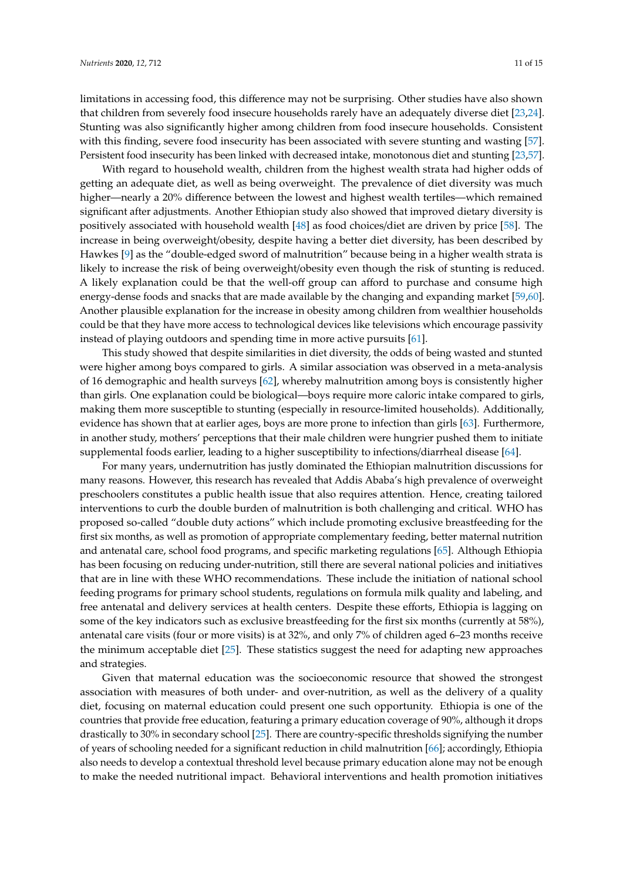limitations in accessing food, this difference may not be surprising. Other studies have also shown that children from severely food insecure households rarely have an adequately diverse diet [\[23,](#page-12-12)[24\]](#page-12-13). Stunting was also significantly higher among children from food insecure households. Consistent with this finding, severe food insecurity has been associated with severe stunting and wasting [\[57\]](#page-14-5). Persistent food insecurity has been linked with decreased intake, monotonous diet and stunting [\[23](#page-12-12)[,57\]](#page-14-5).

With regard to household wealth, children from the highest wealth strata had higher odds of getting an adequate diet, as well as being overweight. The prevalence of diet diversity was much higher—nearly a 20% difference between the lowest and highest wealth tertiles—which remained significant after adjustments. Another Ethiopian study also showed that improved dietary diversity is positively associated with household wealth [\[48\]](#page-13-20) as food choices/diet are driven by price [\[58\]](#page-14-6). The increase in being overweight/obesity, despite having a better diet diversity, has been described by Hawkes [\[9\]](#page-12-2) as the "double-edged sword of malnutrition" because being in a higher wealth strata is likely to increase the risk of being overweight/obesity even though the risk of stunting is reduced. A likely explanation could be that the well-off group can afford to purchase and consume high energy-dense foods and snacks that are made available by the changing and expanding market [\[59](#page-14-7)[,60\]](#page-14-8). Another plausible explanation for the increase in obesity among children from wealthier households could be that they have more access to technological devices like televisions which encourage passivity instead of playing outdoors and spending time in more active pursuits [\[61\]](#page-14-9).

This study showed that despite similarities in diet diversity, the odds of being wasted and stunted were higher among boys compared to girls. A similar association was observed in a meta-analysis of 16 demographic and health surveys [\[62\]](#page-14-10), whereby malnutrition among boys is consistently higher than girls. One explanation could be biological—boys require more caloric intake compared to girls, making them more susceptible to stunting (especially in resource-limited households). Additionally, evidence has shown that at earlier ages, boys are more prone to infection than girls [\[63\]](#page-14-11). Furthermore, in another study, mothers' perceptions that their male children were hungrier pushed them to initiate supplemental foods earlier, leading to a higher susceptibility to infections/diarrheal disease [\[64\]](#page-14-12).

For many years, undernutrition has justly dominated the Ethiopian malnutrition discussions for many reasons. However, this research has revealed that Addis Ababa's high prevalence of overweight preschoolers constitutes a public health issue that also requires attention. Hence, creating tailored interventions to curb the double burden of malnutrition is both challenging and critical. WHO has proposed so-called "double duty actions" which include promoting exclusive breastfeeding for the first six months, as well as promotion of appropriate complementary feeding, better maternal nutrition and antenatal care, school food programs, and specific marketing regulations [\[65\]](#page-14-13). Although Ethiopia has been focusing on reducing under-nutrition, still there are several national policies and initiatives that are in line with these WHO recommendations. These include the initiation of national school feeding programs for primary school students, regulations on formula milk quality and labeling, and free antenatal and delivery services at health centers. Despite these efforts, Ethiopia is lagging on some of the key indicators such as exclusive breastfeeding for the first six months (currently at 58%), antenatal care visits (four or more visits) is at 32%, and only 7% of children aged 6–23 months receive the minimum acceptable diet [\[25\]](#page-12-14). These statistics suggest the need for adapting new approaches and strategies.

Given that maternal education was the socioeconomic resource that showed the strongest association with measures of both under- and over-nutrition, as well as the delivery of a quality diet, focusing on maternal education could present one such opportunity. Ethiopia is one of the countries that provide free education, featuring a primary education coverage of 90%, although it drops drastically to 30% in secondary school [\[25\]](#page-12-14). There are country-specific thresholds signifying the number of years of schooling needed for a significant reduction in child malnutrition [\[66\]](#page-14-14); accordingly, Ethiopia also needs to develop a contextual threshold level because primary education alone may not be enough to make the needed nutritional impact. Behavioral interventions and health promotion initiatives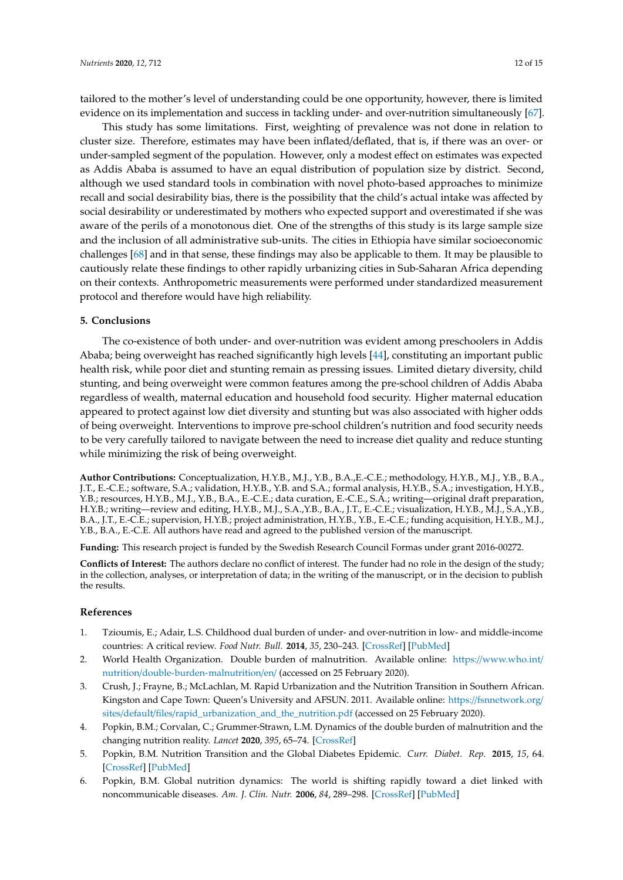tailored to the mother's level of understanding could be one opportunity, however, there is limited evidence on its implementation and success in tackling under- and over-nutrition simultaneously [\[67\]](#page-14-15).

This study has some limitations. First, weighting of prevalence was not done in relation to cluster size. Therefore, estimates may have been inflated/deflated, that is, if there was an over- or under-sampled segment of the population. However, only a modest effect on estimates was expected as Addis Ababa is assumed to have an equal distribution of population size by district. Second, although we used standard tools in combination with novel photo-based approaches to minimize recall and social desirability bias, there is the possibility that the child's actual intake was affected by social desirability or underestimated by mothers who expected support and overestimated if she was aware of the perils of a monotonous diet. One of the strengths of this study is its large sample size and the inclusion of all administrative sub-units. The cities in Ethiopia have similar socioeconomic challenges [\[68\]](#page-14-16) and in that sense, these findings may also be applicable to them. It may be plausible to cautiously relate these findings to other rapidly urbanizing cities in Sub-Saharan Africa depending on their contexts. Anthropometric measurements were performed under standardized measurement protocol and therefore would have high reliability.

#### **5. Conclusions**

The co-existence of both under- and over-nutrition was evident among preschoolers in Addis Ababa; being overweight has reached significantly high levels [\[44\]](#page-13-16), constituting an important public health risk, while poor diet and stunting remain as pressing issues. Limited dietary diversity, child stunting, and being overweight were common features among the pre-school children of Addis Ababa regardless of wealth, maternal education and household food security. Higher maternal education appeared to protect against low diet diversity and stunting but was also associated with higher odds of being overweight. Interventions to improve pre-school children's nutrition and food security needs to be very carefully tailored to navigate between the need to increase diet quality and reduce stunting while minimizing the risk of being overweight.

**Author Contributions:** Conceptualization, H.Y.B., M.J., Y.B., B.A.,E.-C.E.; methodology, H.Y.B., M.J., Y.B., B.A., J.T., E.-C.E.; software, S.A.; validation, H.Y.B., Y.B. and S.A.; formal analysis, H.Y.B., S.A.; investigation, H.Y.B., Y.B.; resources, H.Y.B., M.J., Y.B., B.A., E.-C.E.; data curation, E.-C.E., S.A.; writing—original draft preparation, H.Y.B.; writing—review and editing, H.Y.B., M.J., S.A.,Y.B., B.A., J.T., E.-C.E.; visualization, H.Y.B., M.J., S.A.,Y.B., B.A., J.T., E.-C.E.; supervision, H.Y.B.; project administration, H.Y.B., Y.B., E.-C.E.; funding acquisition, H.Y.B., M.J., Y.B., B.A., E.-C.E. All authors have read and agreed to the published version of the manuscript.

**Funding:** This research project is funded by the Swedish Research Council Formas under grant 2016-00272.

**Conflicts of Interest:** The authors declare no conflict of interest. The funder had no role in the design of the study; in the collection, analyses, or interpretation of data; in the writing of the manuscript, or in the decision to publish the results.

### **References**

- <span id="page-11-0"></span>1. Tzioumis, E.; Adair, L.S. Childhood dual burden of under- and over-nutrition in low- and middle-income countries: A critical review. *Food Nutr. Bull.* **2014**, *35*, 230–243. [\[CrossRef\]](http://dx.doi.org/10.1177/156482651403500210) [\[PubMed\]](http://www.ncbi.nlm.nih.gov/pubmed/25076771)
- <span id="page-11-1"></span>2. World Health Organization. Double burden of malnutrition. Available online: https://[www.who.int](https://www.who.int/nutrition/double-burden-malnutrition/en/)/ nutrition/[double-burden-malnutrition](https://www.who.int/nutrition/double-burden-malnutrition/en/)/en/ (accessed on 25 February 2020).
- <span id="page-11-2"></span>3. Crush, J.; Frayne, B.; McLachlan, M. Rapid Urbanization and the Nutrition Transition in Southern African. Kingston and Cape Town: Queen's University and AFSUN. 2011. Available online: https://[fsnnetwork.org](https://fsnnetwork.org/sites/default/files/rapid_urbanization_and_the_nutrition.pdf)/ sites/default/files/[rapid\\_urbanization\\_and\\_the\\_nutrition.pdf](https://fsnnetwork.org/sites/default/files/rapid_urbanization_and_the_nutrition.pdf) (accessed on 25 February 2020).
- <span id="page-11-3"></span>4. Popkin, B.M.; Corvalan, C.; Grummer-Strawn, L.M. Dynamics of the double burden of malnutrition and the changing nutrition reality. *Lancet* **2020**, *395*, 65–74. [\[CrossRef\]](http://dx.doi.org/10.1016/S0140-6736(19)32497-3)
- <span id="page-11-4"></span>5. Popkin, B.M. Nutrition Transition and the Global Diabetes Epidemic. *Curr. Diabet. Rep.* **2015**, *15*, 64. [\[CrossRef\]](http://dx.doi.org/10.1007/s11892-015-0631-4) [\[PubMed\]](http://www.ncbi.nlm.nih.gov/pubmed/26209940)
- 6. Popkin, B.M. Global nutrition dynamics: The world is shifting rapidly toward a diet linked with noncommunicable diseases. *Am. J. Clin. Nutr.* **2006**, *84*, 289–298. [\[CrossRef\]](http://dx.doi.org/10.1093/ajcn/84.2.289) [\[PubMed\]](http://www.ncbi.nlm.nih.gov/pubmed/16895874)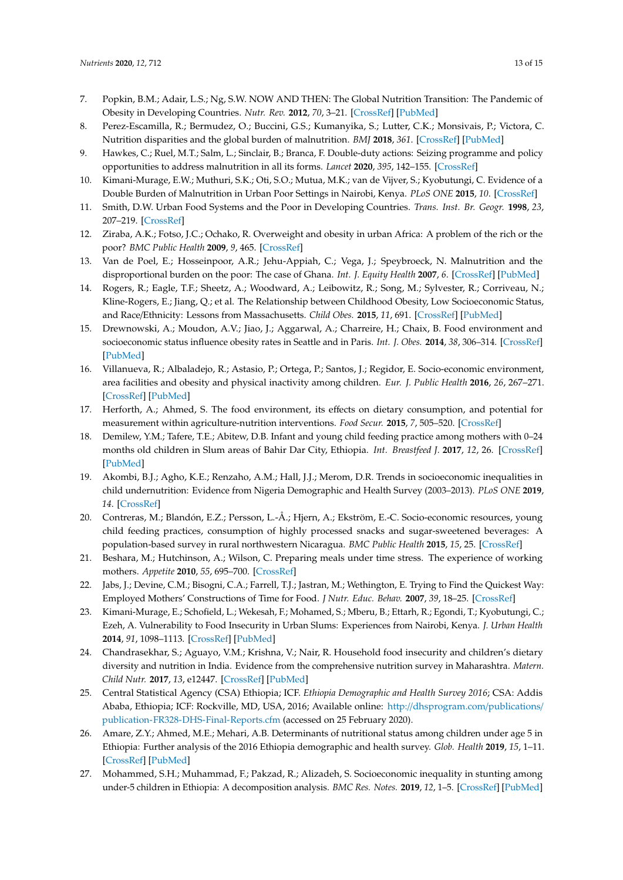- <span id="page-12-0"></span>7. Popkin, B.M.; Adair, L.S.; Ng, S.W. NOW AND THEN: The Global Nutrition Transition: The Pandemic of Obesity in Developing Countries. *Nutr. Rev.* **2012**, *70*, 3–21. [\[CrossRef\]](http://dx.doi.org/10.1111/j.1753-4887.2011.00456.x) [\[PubMed\]](http://www.ncbi.nlm.nih.gov/pubmed/22221213)
- <span id="page-12-1"></span>8. Perez-Escamilla, R.; Bermudez, O.; Buccini, G.S.; Kumanyika, S.; Lutter, C.K.; Monsivais, P.; Victora, C. Nutrition disparities and the global burden of malnutrition. *BMJ* **2018**, *361*. [\[CrossRef\]](http://dx.doi.org/10.1136/bmj.k2252) [\[PubMed\]](http://www.ncbi.nlm.nih.gov/pubmed/29899012)
- <span id="page-12-2"></span>9. Hawkes, C.; Ruel, M.T.; Salm, L.; Sinclair, B.; Branca, F. Double-duty actions: Seizing programme and policy opportunities to address malnutrition in all its forms. *Lancet* **2020**, *395*, 142–155. [\[CrossRef\]](http://dx.doi.org/10.1016/S0140-6736(19)32506-1)
- <span id="page-12-3"></span>10. Kimani-Murage, E.W.; Muthuri, S.K.; Oti, S.O.; Mutua, M.K.; van de Vijver, S.; Kyobutungi, C. Evidence of a Double Burden of Malnutrition in Urban Poor Settings in Nairobi, Kenya. *PLoS ONE* **2015**, *10*. [\[CrossRef\]](http://dx.doi.org/10.1371/journal.pone.0129943)
- 11. Smith, D.W. Urban Food Systems and the Poor in Developing Countries. *Trans. Inst. Br. Geogr.* **1998**, *23*, 207–219. [\[CrossRef\]](http://dx.doi.org/10.1111/j.0020-2754.1998.00207.x)
- 12. Ziraba, A.K.; Fotso, J.C.; Ochako, R. Overweight and obesity in urban Africa: A problem of the rich or the poor? *BMC Public Health* **2009**, *9*, 465. [\[CrossRef\]](http://dx.doi.org/10.1186/1471-2458-9-465)
- <span id="page-12-4"></span>13. Van de Poel, E.; Hosseinpoor, A.R.; Jehu-Appiah, C.; Vega, J.; Speybroeck, N. Malnutrition and the disproportional burden on the poor: The case of Ghana. *Int. J. Equity Health* **2007**, *6*. [\[CrossRef\]](http://dx.doi.org/10.1186/1475-9276-6-21) [\[PubMed\]](http://www.ncbi.nlm.nih.gov/pubmed/18045499)
- <span id="page-12-5"></span>14. Rogers, R.; Eagle, T.F.; Sheetz, A.; Woodward, A.; Leibowitz, R.; Song, M.; Sylvester, R.; Corriveau, N.; Kline-Rogers, E.; Jiang, Q.; et al. The Relationship between Childhood Obesity, Low Socioeconomic Status, and Race/Ethnicity: Lessons from Massachusetts. *Child Obes.* **2015**, *11*, 691. [\[CrossRef\]](http://dx.doi.org/10.1089/chi.2015.0029) [\[PubMed\]](http://www.ncbi.nlm.nih.gov/pubmed/26562758)
- 15. Drewnowski, A.; Moudon, A.V.; Jiao, J.; Aggarwal, A.; Charreire, H.; Chaix, B. Food environment and socioeconomic status influence obesity rates in Seattle and in Paris. *Int. J. Obes.* **2014**, *38*, 306–314. [\[CrossRef\]](http://dx.doi.org/10.1038/ijo.2013.97) [\[PubMed\]](http://www.ncbi.nlm.nih.gov/pubmed/23736365)
- 16. Villanueva, R.; Albaladejo, R.; Astasio, P.; Ortega, P.; Santos, J.; Regidor, E. Socio-economic environment, area facilities and obesity and physical inactivity among children. *Eur. J. Public Health* **2016**, *26*, 267–271. [\[CrossRef\]](http://dx.doi.org/10.1093/eurpub/ckv215) [\[PubMed\]](http://www.ncbi.nlm.nih.gov/pubmed/26578662)
- <span id="page-12-6"></span>17. Herforth, A.; Ahmed, S. The food environment, its effects on dietary consumption, and potential for measurement within agriculture-nutrition interventions. *Food Secur.* **2015**, *7*, 505–520. [\[CrossRef\]](http://dx.doi.org/10.1007/s12571-015-0455-8)
- <span id="page-12-7"></span>18. Demilew, Y.M.; Tafere, T.E.; Abitew, D.B. Infant and young child feeding practice among mothers with 0–24 months old children in Slum areas of Bahir Dar City, Ethiopia. *Int. Breastfeed J.* **2017**, *12*, 26. [\[CrossRef\]](http://dx.doi.org/10.1186/s13006-017-0117-x) [\[PubMed\]](http://www.ncbi.nlm.nih.gov/pubmed/28630642)
- <span id="page-12-8"></span>19. Akombi, B.J.; Agho, K.E.; Renzaho, A.M.; Hall, J.J.; Merom, D.R. Trends in socioeconomic inequalities in child undernutrition: Evidence from Nigeria Demographic and Health Survey (2003–2013). *PLoS ONE* **2019**, *14*. [\[CrossRef\]](http://dx.doi.org/10.1371/journal.pone.0211883)
- <span id="page-12-9"></span>20. Contreras, M.; Blandón, E.Z.; Persson, L.-Å.; Hjern, A.; Ekström, E.-C. Socio-economic resources, young child feeding practices, consumption of highly processed snacks and sugar-sweetened beverages: A population-based survey in rural northwestern Nicaragua. *BMC Public Health* **2015**, *15*, 25. [\[CrossRef\]](http://dx.doi.org/10.1186/s12889-015-1374-5)
- <span id="page-12-10"></span>21. Beshara, M.; Hutchinson, A.; Wilson, C. Preparing meals under time stress. The experience of working mothers. *Appetite* **2010**, *55*, 695–700. [\[CrossRef\]](http://dx.doi.org/10.1016/j.appet.2010.10.003)
- <span id="page-12-11"></span>22. Jabs, J.; Devine, C.M.; Bisogni, C.A.; Farrell, T.J.; Jastran, M.; Wethington, E. Trying to Find the Quickest Way: Employed Mothers' Constructions of Time for Food. *J Nutr. Educ. Behav.* **2007**, *39*, 18–25. [\[CrossRef\]](http://dx.doi.org/10.1016/j.jneb.2006.08.011)
- <span id="page-12-12"></span>23. Kimani-Murage, E.; Schofield, L.; Wekesah, F.; Mohamed, S.; Mberu, B.; Ettarh, R.; Egondi, T.; Kyobutungi, C.; Ezeh, A. Vulnerability to Food Insecurity in Urban Slums: Experiences from Nairobi, Kenya. *J. Urban Health* **2014**, *91*, 1098–1113. [\[CrossRef\]](http://dx.doi.org/10.1007/s11524-014-9894-3) [\[PubMed\]](http://www.ncbi.nlm.nih.gov/pubmed/25172616)
- <span id="page-12-13"></span>24. Chandrasekhar, S.; Aguayo, V.M.; Krishna, V.; Nair, R. Household food insecurity and children's dietary diversity and nutrition in India. Evidence from the comprehensive nutrition survey in Maharashtra. *Matern. Child Nutr.* **2017**, *13*, e12447. [\[CrossRef\]](http://dx.doi.org/10.1111/mcn.12447) [\[PubMed\]](http://www.ncbi.nlm.nih.gov/pubmed/29032621)
- <span id="page-12-14"></span>25. Central Statistical Agency (CSA) Ethiopia; ICF. *Ethiopia Demographic and Health Survey 2016*; CSA: Addis Ababa, Ethiopia; ICF: Rockville, MD, USA, 2016; Available online: http://[dhsprogram.com](http://dhsprogram.com/publications/publication-FR328-DHS-Final-Reports.cfm)/publications/ [publication-FR328-DHS-Final-Reports.cfm](http://dhsprogram.com/publications/publication-FR328-DHS-Final-Reports.cfm) (accessed on 25 February 2020).
- <span id="page-12-15"></span>26. Amare, Z.Y.; Ahmed, M.E.; Mehari, A.B. Determinants of nutritional status among children under age 5 in Ethiopia: Further analysis of the 2016 Ethiopia demographic and health survey. *Glob. Health* **2019**, *15*, 1–11. [\[CrossRef\]](http://dx.doi.org/10.1186/s12992-019-0505-7) [\[PubMed\]](http://www.ncbi.nlm.nih.gov/pubmed/31694661)
- <span id="page-12-16"></span>27. Mohammed, S.H.; Muhammad, F.; Pakzad, R.; Alizadeh, S. Socioeconomic inequality in stunting among under-5 children in Ethiopia: A decomposition analysis. *BMC Res. Notes.* **2019**, *12*, 1–5. [\[CrossRef\]](http://dx.doi.org/10.1186/s13104-019-4229-9) [\[PubMed\]](http://www.ncbi.nlm.nih.gov/pubmed/30922416)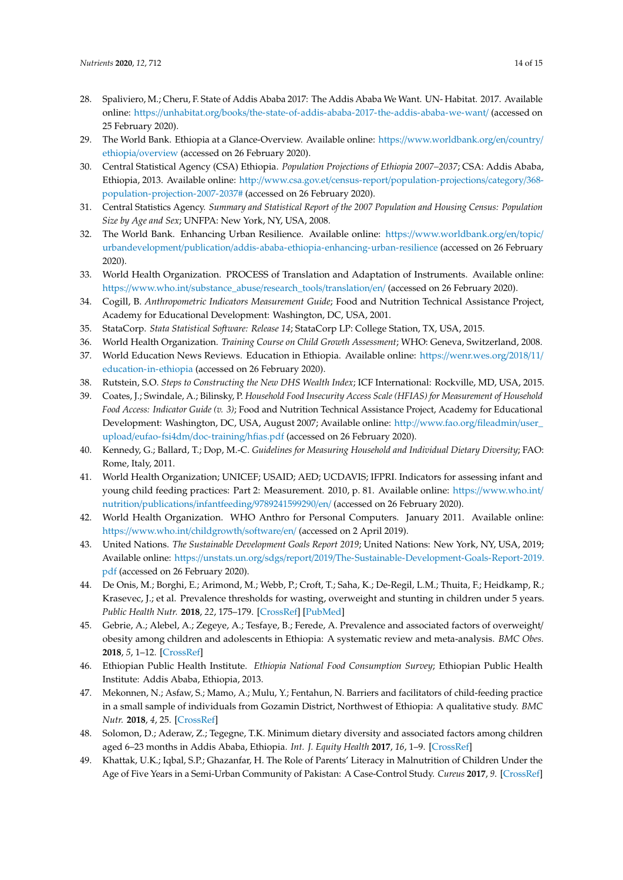- <span id="page-13-0"></span>28. Spaliviero, M.; Cheru, F. State of Addis Ababa 2017: The Addis Ababa We Want. UN- Habitat. 2017. Available online: https://unhabitat.org/books/[the-state-of-addis-ababa-2017-the-addis-ababa-we-want](https://unhabitat.org/books/the-state-of-addis-ababa-2017-the-addis-ababa-we-want/)/ (accessed on 25 February 2020).
- <span id="page-13-1"></span>29. The World Bank. Ethiopia at a Glance-Overview. Available online: https://[www.worldbank.org](https://www.worldbank.org/en/country/ethiopia/overview)/en/country/ ethiopia/[overview](https://www.worldbank.org/en/country/ethiopia/overview) (accessed on 26 February 2020).
- <span id="page-13-2"></span>30. Central Statistical Agency (CSA) Ethiopia. *Population Projections of Ethiopia 2007–2037*; CSA: Addis Ababa, Ethiopia, 2013. Available online: http://www.csa.gov.et/census-report/[population-projections](http://www.csa.gov.et/census-report/population-projections/category/368-population-projection-2007-2037#)/category/368 [population-projection-2007-2037#](http://www.csa.gov.et/census-report/population-projections/category/368-population-projection-2007-2037#) (accessed on 26 February 2020).
- <span id="page-13-3"></span>31. Central Statistics Agency. *Summary and Statistical Report of the 2007 Population and Housing Census: Population Size by Age and Sex*; UNFPA: New York, NY, USA, 2008.
- <span id="page-13-4"></span>32. The World Bank. Enhancing Urban Resilience. Available online: https://[www.worldbank.org](https://www.worldbank.org/en/topic/urbandevelopment/publication/addis-ababa-ethiopia-enhancing-urban-resilience)/en/topic/ urbandevelopment/publication/[addis-ababa-ethiopia-enhancing-urban-resilience](https://www.worldbank.org/en/topic/urbandevelopment/publication/addis-ababa-ethiopia-enhancing-urban-resilience) (accessed on 26 February 2020).
- <span id="page-13-5"></span>33. World Health Organization. PROCESS of Translation and Adaptation of Instruments. Available online: https://www.who.int/[substance\\_abuse](https://www.who.int/substance_abuse/research_tools/translation/en/)/research\_tools/translation/en/ (accessed on 26 February 2020).
- <span id="page-13-6"></span>34. Cogill, B. *Anthropometric Indicators Measurement Guide*; Food and Nutrition Technical Assistance Project, Academy for Educational Development: Washington, DC, USA, 2001.
- <span id="page-13-7"></span>35. StataCorp. *Stata Statistical Software: Release 14*; StataCorp LP: College Station, TX, USA, 2015.
- <span id="page-13-8"></span>36. World Health Organization. *Training Course on Child Growth Assessment*; WHO: Geneva, Switzerland, 2008.
- <span id="page-13-9"></span>37. World Education News Reviews. Education in Ethiopia. Available online: https://[wenr.wes.org](https://wenr.wes.org/2018/11/education-in-ethiopia)/2018/11/ [education-in-ethiopia](https://wenr.wes.org/2018/11/education-in-ethiopia) (accessed on 26 February 2020).
- <span id="page-13-10"></span>38. Rutstein, S.O. *Steps to Constructing the New DHS Wealth Index*; ICF International: Rockville, MD, USA, 2015.
- <span id="page-13-11"></span>39. Coates, J.; Swindale, A.; Bilinsky, P. *Household Food Insecurity Access Scale (HFIAS) for Measurement of Household Food Access: Indicator Guide (v. 3)*; Food and Nutrition Technical Assistance Project, Academy for Educational Development: Washington, DC, USA, August 2007; Available online: http://[www.fao.org](http://www.fao.org/fileadmin/user_upload/eufao-fsi4dm/doc-training/hfias.pdf)/fileadmin/user\_ upload/[eufao-fsi4dm](http://www.fao.org/fileadmin/user_upload/eufao-fsi4dm/doc-training/hfias.pdf)/doc-training/hfias.pdf (accessed on 26 February 2020).
- <span id="page-13-12"></span>40. Kennedy, G.; Ballard, T.; Dop, M.-C. *Guidelines for Measuring Household and Individual Dietary Diversity*; FAO: Rome, Italy, 2011.
- <span id="page-13-13"></span>41. World Health Organization; UNICEF; USAID; AED; UCDAVIS; IFPRI. Indicators for assessing infant and young child feeding practices: Part 2: Measurement. 2010, p. 81. Available online: https://[www.who.int](https://www.who.int/nutrition/publications/infantfeeding/9789241599290/en/)/ nutrition/publications/infantfeeding/[9789241599290](https://www.who.int/nutrition/publications/infantfeeding/9789241599290/en/)/en/ (accessed on 26 February 2020).
- <span id="page-13-14"></span>42. World Health Organization. WHO Anthro for Personal Computers. January 2011. Available online: https://[www.who.int](https://www.who.int/childgrowth/software/en/)/childgrowth/software/en/ (accessed on 2 April 2019).
- <span id="page-13-15"></span>43. United Nations. *The Sustainable Development Goals Report 2019*; United Nations: New York, NY, USA, 2019; Available online: https://unstats.un.org/sdgs/report/2019/[The-Sustainable-Development-Goals-Report-2019.](https://unstats.un.org/sdgs/report/2019/The-Sustainable-Development-Goals-Report-2019.pdf) [pdf](https://unstats.un.org/sdgs/report/2019/The-Sustainable-Development-Goals-Report-2019.pdf) (accessed on 26 February 2020).
- <span id="page-13-16"></span>44. De Onis, M.; Borghi, E.; Arimond, M.; Webb, P.; Croft, T.; Saha, K.; De-Regil, L.M.; Thuita, F.; Heidkamp, R.; Krasevec, J.; et al. Prevalence thresholds for wasting, overweight and stunting in children under 5 years. *Public Health Nutr.* **2018**, *22*, 175–179. [\[CrossRef\]](http://dx.doi.org/10.1017/S1368980018002434) [\[PubMed\]](http://www.ncbi.nlm.nih.gov/pubmed/30296964)
- <span id="page-13-17"></span>45. Gebrie, A.; Alebel, A.; Zegeye, A.; Tesfaye, B.; Ferede, A. Prevalence and associated factors of overweight/ obesity among children and adolescents in Ethiopia: A systematic review and meta-analysis. *BMC Obes.* **2018**, *5*, 1–12. [\[CrossRef\]](http://dx.doi.org/10.1186/s40608-018-0198-0)
- <span id="page-13-18"></span>46. Ethiopian Public Health Institute. *Ethiopia National Food Consumption Survey*; Ethiopian Public Health Institute: Addis Ababa, Ethiopia, 2013.
- <span id="page-13-19"></span>47. Mekonnen, N.; Asfaw, S.; Mamo, A.; Mulu, Y.; Fentahun, N. Barriers and facilitators of child-feeding practice in a small sample of individuals from Gozamin District, Northwest of Ethiopia: A qualitative study. *BMC Nutr.* **2018**, *4*, 25. [\[CrossRef\]](http://dx.doi.org/10.1186/s40795-018-0233-z)
- <span id="page-13-20"></span>48. Solomon, D.; Aderaw, Z.; Tegegne, T.K. Minimum dietary diversity and associated factors among children aged 6–23 months in Addis Ababa, Ethiopia. *Int. J. Equity Health* **2017**, *16*, 1–9. [\[CrossRef\]](http://dx.doi.org/10.1186/s12939-017-0680-1)
- <span id="page-13-21"></span>49. Khattak, U.K.; Iqbal, S.P.; Ghazanfar, H. The Role of Parents' Literacy in Malnutrition of Children Under the Age of Five Years in a Semi-Urban Community of Pakistan: A Case-Control Study. *Cureus* **2017**, *9*. [\[CrossRef\]](http://dx.doi.org/10.7759/cureus.1316)